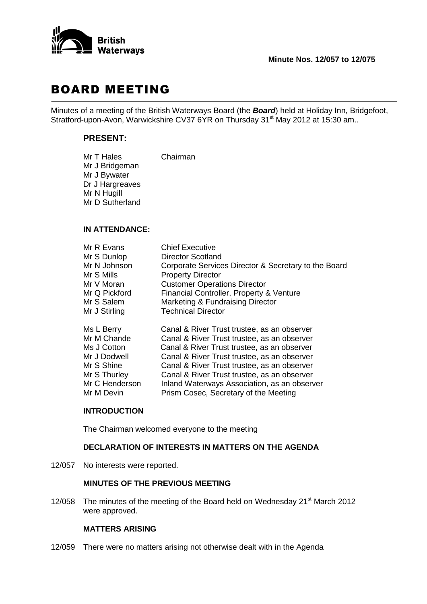

# BOARD MEETING

Minutes of a meeting of the British Waterways Board (the *Board*) held at Holiday Inn, Bridgefoot, Stratford-upon-Avon, Warwickshire CV37 6YR on Thursday 31<sup>st</sup> May 2012 at 15:30 am..

### **PRESENT:**

| Mr T Hales      | Chairman |
|-----------------|----------|
| Mr J Bridgeman  |          |
| Mr J Bywater    |          |
| Dr J Hargreaves |          |
| Mr N Hugill     |          |
| Mr D Sutherland |          |

#### **IN ATTENDANCE:**

| <b>Chief Executive</b>                               |
|------------------------------------------------------|
| <b>Director Scotland</b>                             |
| Corporate Services Director & Secretary to the Board |
| <b>Property Director</b>                             |
| <b>Customer Operations Director</b>                  |
| Financial Controller, Property & Venture             |
| Marketing & Fundraising Director                     |
| <b>Technical Director</b>                            |
| Canal & River Trust trustee, as an observer          |
| Canal & River Trust trustee, as an observer          |
| Canal & River Trust trustee, as an observer          |
| Canal & River Trust trustee, as an observer          |
| Canal & River Trust trustee, as an observer          |
| Canal & River Trust trustee, as an observer          |
| Inland Waterways Association, as an observer         |
| Prism Cosec, Secretary of the Meeting                |
|                                                      |

#### **INTRODUCTION**

The Chairman welcomed everyone to the meeting

## **DECLARATION OF INTERESTS IN MATTERS ON THE AGENDA**

12/057 No interests were reported.

#### **MINUTES OF THE PREVIOUS MEETING**

12/058 The minutes of the meeting of the Board held on Wednesday 21<sup>st</sup> March 2012 were approved.

#### **MATTERS ARISING**

12/059 There were no matters arising not otherwise dealt with in the Agenda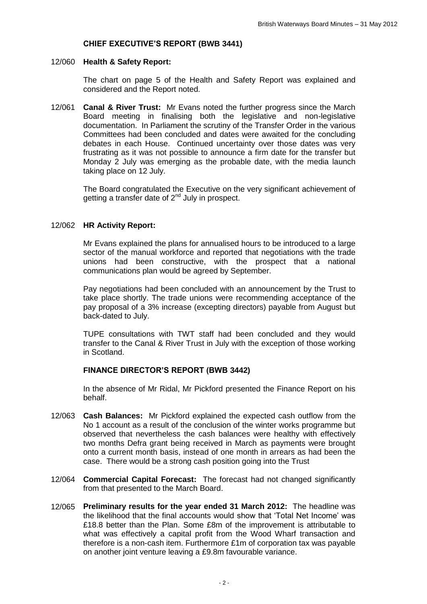# **CHIEF EXECUTIVE'S REPORT (BWB 3441)**

#### 12/060 **Health & Safety Report:**

The chart on page 5 of the Health and Safety Report was explained and considered and the Report noted.

12/061 **Canal & River Trust:** Mr Evans noted the further progress since the March Board meeting in finalising both the legislative and non-legislative documentation. In Parliament the scrutiny of the Transfer Order in the various Committees had been concluded and dates were awaited for the concluding debates in each House. Continued uncertainty over those dates was very frustrating as it was not possible to announce a firm date for the transfer but Monday 2 July was emerging as the probable date, with the media launch taking place on 12 July.

> The Board congratulated the Executive on the very significant achievement of getting a transfer date of  $2^{nd}$  July in prospect.

#### 12/062 **HR Activity Report:**

Mr Evans explained the plans for annualised hours to be introduced to a large sector of the manual workforce and reported that negotiations with the trade unions had been constructive, with the prospect that a national communications plan would be agreed by September.

Pay negotiations had been concluded with an announcement by the Trust to take place shortly. The trade unions were recommending acceptance of the pay proposal of a 3% increase (excepting directors) payable from August but back-dated to July.

TUPE consultations with TWT staff had been concluded and they would transfer to the Canal & River Trust in July with the exception of those working in Scotland.

## **FINANCE DIRECTOR'S REPORT (BWB 3442)**

In the absence of Mr Ridal, Mr Pickford presented the Finance Report on his behalf.

- 12/063 **Cash Balances:** Mr Pickford explained the expected cash outflow from the No 1 account as a result of the conclusion of the winter works programme but observed that nevertheless the cash balances were healthy with effectively two months Defra grant being received in March as payments were brought onto a current month basis, instead of one month in arrears as had been the case. There would be a strong cash position going into the Trust
- 12/064 **Commercial Capital Forecast:** The forecast had not changed significantly from that presented to the March Board.
- 12/065 **Preliminary results for the year ended 31 March 2012:** The headline was the likelihood that the final accounts would show that 'Total Net Income' was £18.8 better than the Plan. Some £8m of the improvement is attributable to what was effectively a capital profit from the Wood Wharf transaction and therefore is a non-cash item. Furthermore £1m of corporation tax was payable on another joint venture leaving a £9.8m favourable variance.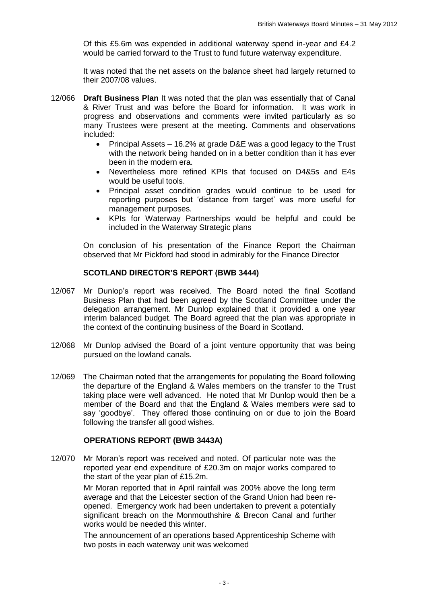Of this £5.6m was expended in additional waterway spend in-year and £4.2 would be carried forward to the Trust to fund future waterway expenditure.

It was noted that the net assets on the balance sheet had largely returned to their 2007/08 values.

- 12/066 **Draft Business Plan** It was noted that the plan was essentially that of Canal & River Trust and was before the Board for information. It was work in progress and observations and comments were invited particularly as so many Trustees were present at the meeting. Comments and observations included:
	- Principal Assets 16.2% at grade D&E was a good legacy to the Trust with the network being handed on in a better condition than it has ever been in the modern era.
	- Nevertheless more refined KPIs that focused on D4&5s and E4s would be useful tools.
	- Principal asset condition grades would continue to be used for reporting purposes but 'distance from target' was more useful for management purposes.
	- KPIs for Waterway Partnerships would be helpful and could be included in the Waterway Strategic plans

On conclusion of his presentation of the Finance Report the Chairman observed that Mr Pickford had stood in admirably for the Finance Director

#### **SCOTLAND DIRECTOR'S REPORT (BWB 3444)**

- 12/067 Mr Dunlop's report was received. The Board noted the final Scotland Business Plan that had been agreed by the Scotland Committee under the delegation arrangement. Mr Dunlop explained that it provided a one year interim balanced budget. The Board agreed that the plan was appropriate in the context of the continuing business of the Board in Scotland.
- 12/068 Mr Dunlop advised the Board of a joint venture opportunity that was being pursued on the lowland canals.
- 12/069 The Chairman noted that the arrangements for populating the Board following the departure of the England & Wales members on the transfer to the Trust taking place were well advanced. He noted that Mr Dunlop would then be a member of the Board and that the England & Wales members were sad to say 'goodbye'. They offered those continuing on or due to join the Board following the transfer all good wishes.

#### **OPERATIONS REPORT (BWB 3443A)**

12/070 Mr Moran's report was received and noted. Of particular note was the reported year end expenditure of £20.3m on major works compared to the start of the year plan of £15.2m.

> Mr Moran reported that in April rainfall was 200% above the long term average and that the Leicester section of the Grand Union had been reopened. Emergency work had been undertaken to prevent a potentially significant breach on the Monmouthshire & Brecon Canal and further works would be needed this winter.

> The announcement of an operations based Apprenticeship Scheme with two posts in each waterway unit was welcomed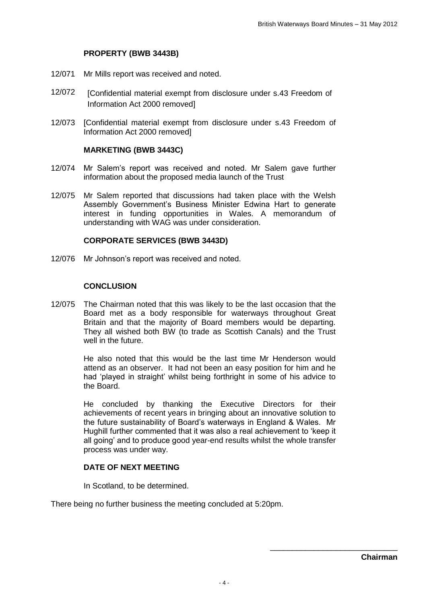# **PROPERTY (BWB 3443B)**

- 12/071 Mr Mills report was received and noted.
- 12/072 [Confidential material exempt from disclosure under s.43 Freedom of Information Act 2000 removed]
- 12/073 [Confidential material exempt from disclosure under s.43 Freedom of Information Act 2000 removed]

#### **MARKETING (BWB 3443C)**

- 12/074 Mr Salem's report was received and noted. Mr Salem gave further information about the proposed media launch of the Trust
- 12/075 Mr Salem reported that discussions had taken place with the Welsh Assembly Government's Business Minister Edwina Hart to generate interest in funding opportunities in Wales. A memorandum of understanding with WAG was under consideration.

## **CORPORATE SERVICES (BWB 3443D)**

12/076 Mr Johnson's report was received and noted.

## **CONCLUSION**

12/075 The Chairman noted that this was likely to be the last occasion that the Board met as a body responsible for waterways throughout Great Britain and that the majority of Board members would be departing. They all wished both BW (to trade as Scottish Canals) and the Trust well in the future.

> He also noted that this would be the last time Mr Henderson would attend as an observer. It had not been an easy position for him and he had 'played in straight' whilst being forthright in some of his advice to the Board.

> He concluded by thanking the Executive Directors for their achievements of recent years in bringing about an innovative solution to the future sustainability of Board's waterways in England & Wales. Mr Hughill further commented that it was also a real achievement to 'keep it all going' and to produce good year-end results whilst the whole transfer process was under way.

# **DATE OF NEXT MEETING**

In Scotland, to be determined.

There being no further business the meeting concluded at 5:20pm.

\_\_\_\_\_\_\_\_\_\_\_\_\_\_\_\_\_\_\_\_\_\_\_\_\_\_\_\_\_